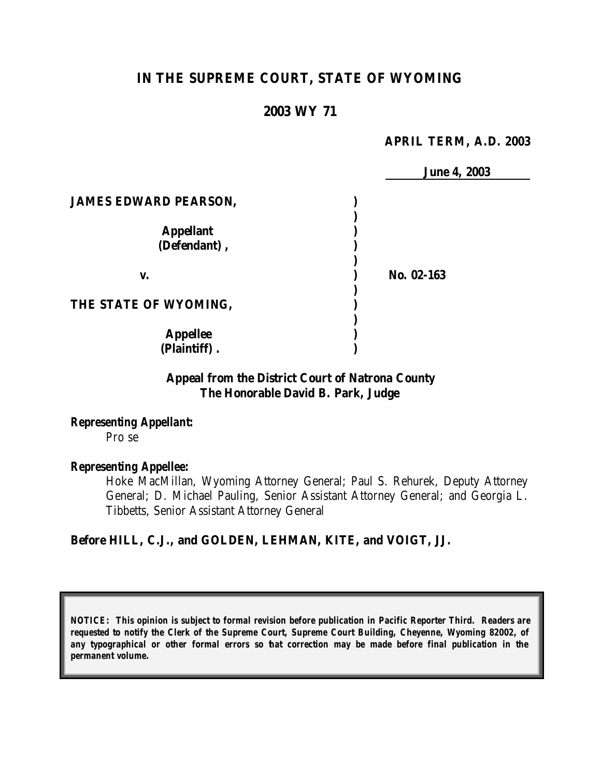# **IN THE SUPREME COURT, STATE OF WYOMING**

### **2003 WY 71**

#### **APRIL TERM, A.D. 2003**

|                              | <b>June 4, 2003</b> |
|------------------------------|---------------------|
| <b>JAMES EDWARD PEARSON,</b> |                     |
|                              |                     |
| <b>Appellant</b>             |                     |
| (Defendant),                 |                     |
| V.                           | No. 02-163          |
| THE STATE OF WYOMING,        |                     |
| <b>Appellee</b>              |                     |
| (Plaintiff).                 |                     |

### **Appeal from the District Court of Natrona County The Honorable David B. Park, Judge**

*Representing Appellant:* Pro se

#### *Representing Appellee:*

Hoke MacMillan, Wyoming Attorney General; Paul S. Rehurek, Deputy Attorney General; D. Michael Pauling, Senior Assistant Attorney General; and Georgia L. Tibbetts, Senior Assistant Attorney General

## **Before HILL, C.J., and GOLDEN, LEHMAN, KITE, and VOIGT, JJ.**

*NOTICE: This opinion is subject to formal revision before publication in Pacific Reporter Third. Readers are requested to notify the Clerk of the Supreme Court, Supreme Court Building, Cheyenne, Wyoming 82002, of any typographical or other formal errors so that correction may be made before final publication in the permanent volume.*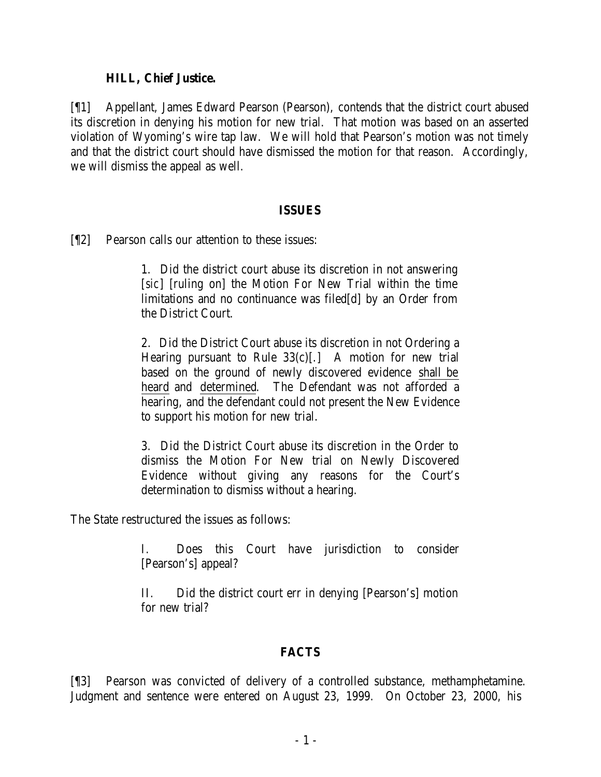#### **HILL, Chief Justice.**

[¶1] Appellant, James Edward Pearson (Pearson), contends that the district court abused its discretion in denying his motion for new trial. That motion was based on an asserted violation of Wyoming's wire tap law. We will hold that Pearson's motion was not timely and that the district court should have dismissed the motion for that reason. Accordingly, we will dismiss the appeal as well.

#### **ISSUES**

[¶2] Pearson calls our attention to these issues:

1. Did the district court abuse its discretion in not answering [*sic*] [ruling on] the Motion For New Trial within the time limitations and no continuance was filed[d] by an Order from the District Court.

2. Did the District Court abuse its discretion in not Ordering a Hearing pursuant to Rule  $33(c)$ [.] A motion for new trial based on the ground of newly discovered evidence shall be heard and determined. The Defendant was not afforded a hearing, and the defendant could not present the New Evidence to support his motion for new trial.

3. Did the District Court abuse its discretion in the Order to dismiss the Motion For New trial on Newly Discovered Evidence without giving any reasons for the Court's determination to dismiss without a hearing.

The State restructured the issues as follows:

I. Does this Court have jurisdiction to consider [Pearson's] appeal?

II. Did the district court err in denying [Pearson's] motion for new trial?

# **FACTS**

[¶3] Pearson was convicted of delivery of a controlled substance, methamphetamine. Judgment and sentence were entered on August 23, 1999. On October 23, 2000, his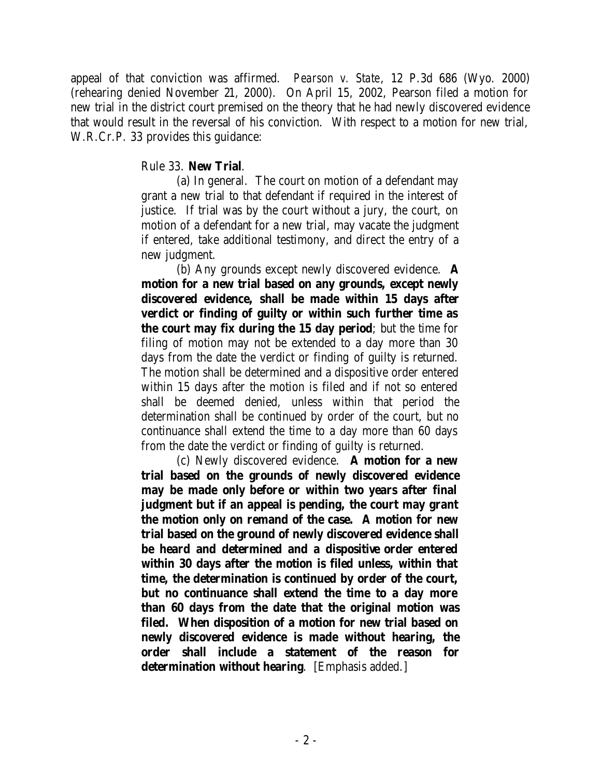appeal of that conviction was affirmed. *Pearson v. State*, 12 P.3d 686 (Wyo. 2000) (rehearing denied November 21, 2000). On April 15, 2002, Pearson filed a motion for new trial in the district court premised on the theory that he had newly discovered evidence that would result in the reversal of his conviction. With respect to a motion for new trial, W.R.Cr.P. 33 provides this guidance:

### Rule 33. **New Trial**.

(a) In general. The court on motion of a defendant may grant a new trial to that defendant if required in the interest of justice. If trial was by the court without a jury, the court, on motion of a defendant for a new trial, may vacate the judgment if entered, take additional testimony, and direct the entry of a new judgment.

(b) Any grounds except newly discovered evidence. **A motion for a new trial based on any grounds, except newly discovered evidence, shall be made within 15 days after verdict or finding of guilty or within such further time as the court may fix during the 15 day period**; but the time for filing of motion may not be extended to a day more than 30 days from the date the verdict or finding of guilty is returned. The motion shall be determined and a dispositive order entered within 15 days after the motion is filed and if not so entered shall be deemed denied, unless within that period the determination shall be continued by order of the court, but no continuance shall extend the time to a day more than 60 days from the date the verdict or finding of guilty is returned.

(c) Newly discovered evidence. **A motion for a new trial based on the grounds of newly discovered evidence may be made only before or within two years after final judgment but if an appeal is pending, the court may grant the motion only on remand of the case. A motion for new trial based on the ground of newly discovered evidence shall be heard and determined and a dispositive order entered within 30 days after the motion is filed unless, within that time, the determination is continued by order of the court, but no continuance shall extend the time to a day more than 60 days from the date that the original motion was filed. When disposition of a motion for new trial based on newly discovered evidence is made without hearing, the order shall include a statement of the reason for determination without hearing**. [Emphasis added.]